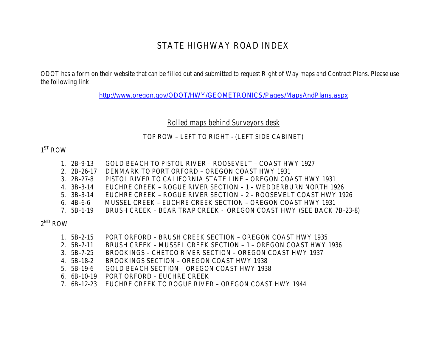## STATE HIGHWAY ROAD INDEX

ODOT has a form on their website that can be filled out and submitted to request Right of Way maps and Contract Plans. Please use the following link:

<http://www.oregon.gov/ODOT/HWY/GEOMETRONICS/Pages/MapsAndPlans.aspx>

*Rolled maps behind Surveyors desk*

## TOP ROW – LEFT TO RIGHT - (LEFT SIDE CABINET)

## $1<sup>ST</sup>$  ROW

- 1. 2B-9-13 GOLD BEACH TO PISTOL RIVER ROOSEVELT COAST HWY 1927
- 2. 2B-26-17 DENMARK TO PORT ORFORD OREGON COAST HWY 1931
- 3. 2B-27-8 PISTOL RIVER TO CALIFORNIA STATE LINE OREGON COAST HWY 1931
- 4. 3B-3-14 EUCHRE CREEK ROGUE RIVER SECTION 1 WEDDERBURN NORTH 1926
- 5. 3B-3-14 EUCHRE CREEK ROGUE RIVER SECTION 2 ROOSEVELT COAST HWY 1926
- 6. 4B-6-6 MUSSEL CREEK EUCHRE CREEK SECTION OREGON COAST HWY 1931
- 7. 5B-1-19 BRUSH CREEK BEAR TRAP CREEK OREGON COAST HWY (SEE BACK 7B-23-8)

 $2^{ND}$  ROW

- 1. 5B-2-15 PORT ORFORD BRUSH CREEK SECTION OREGON COAST HWY 1935
- 2. 5B-7-11 BRUSH CREEK MUSSEL CREEK SECTION 1 OREGON COAST HWY 1936
- 3. 5B-7-25 BROOKINGS CHETCO RIVER SECTION OREGON COAST HWY 1937<br>4. 5B-18-2 BROOKINGS SECTION OREGON COAST HWY 1938
- BROOKINGS SECTION OREGON COAST HWY 1938
- 5. 5B-19-6 GOLD BEACH SECTION OREGON COAST HWY 1938
- 6. 6B-10-19 PORT ORFORD EUCHRE CREEK
- 7. 6B-12-23 EUCHRE CREEK TO ROGUE RIVER OREGON COAST HWY 1944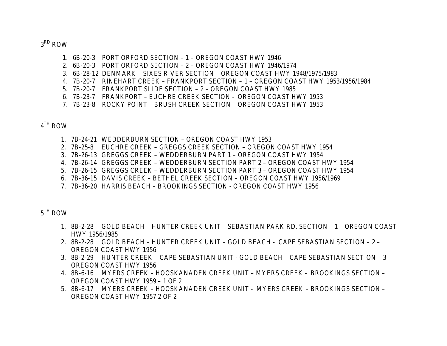$3<sup>RD</sup>$  ROW

- 1. 6B-20-3 PORT ORFORD SECTION 1 OREGON COAST HWY 1946
- 2. 6B-20-3 PORT ORFORD SECTION 2 OREGON COAST HWY 1946/1974
- 3. 6B-28-12 DENMARK SIXES RIVER SECTION OREGON COAST HWY 1948/1975/1983
- 4. 7B-20-7 RINEHART CREEK FRANKPORT SECTION 1 OREGON COAST HWY 1953/1956/1984
- 5. 7B-20-7 FRANKPORT SLIDE SECTION 2 OREGON COAST HWY 1985
- 6. 7B-23-7 FRANKPORT EUCHRE CREEK SECTION OREGON COAST HWY 1953
- 7. 7B-23-8 ROCKY POINT BRUSH CREEK SECTION OREGON COAST HWY 1953

 $4<sup>TH</sup>$  ROW

- 1. 7B-24-21 WEDDERBURN SECTION OREGON COAST HWY 1953
- 2. 7B-25-8 EUCHRE CREEK GREGGS CREEK SECTION OREGON COAST HWY 1954
- 3. 7B-26-13 GREGGS CREEK WEDDERBURN PART 1 OREGON COAST HWY 1954
- 4. 7B-26-14 GREGGS CREEK WEDDERBURN SECTION PART 2 OREGON COAST HWY 1954
- 5. 7B-26-15 GREGGS CREEK WEDDERBURN SECTION PART 3 OREGON COAST HWY 1954
- 6. 7B-36-15 DAVIS CREEK BETHEL CREEK SECTION OREGON COAST HWY 1956/1969
- 7. 7B-36-20 HARRIS BEACH BROOKINGS SECTION OREGON COAST HWY 1956

 $5^{TH}$  ROW

- 1. 8B-2-28 GOLD BEACH HUNTER CREEK UNIT SEBASTIAN PARK RD. SECTION 1 OREGON COAST HWY 1956/1985
- 2. 8B-2-28 GOLD BEACH HUNTER CREEK UNIT GOLD BEACH CAPE SEBASTIAN SECTION 2 OREGON COAST HWY 1956
- 3. 8B-2-29 HUNTER CREEK CAPE SEBASTIAN UNIT GOLD BEACH CAPE SEBASTIAN SECTION 3 OREGON COAST HWY 1956
- 4. 8B-6-16 MYERS CREEK HOOSKANADEN CREEK UNIT MYERS CREEK BROOKINGS SECTION OREGON COAST HWY 1959 – 1 OF 2
- 5. 8B-6-17 MYERS CREEK HOOSKANADEN CREEK UNIT MYERS CREEK BROOKINGS SECTION OREGON COAST HWY 1957 2 OF 2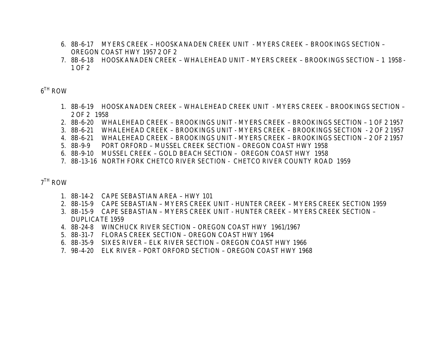- 6. 8B-6-17 MYERS CREEK HOOSKANADEN CREEK UNIT MYERS CREEK BROOKINGS SECTION OREGON COAST HWY 1957 2 OF 2
- 7. 8B-6-18 HOOSKANADEN CREEK WHALEHEAD UNIT MYERS CREEK BROOKINGS SECTION 1 1958 1 OF 2

 $6^{TH}$  ROW

- 1. 8B-6-19 HOOSKANADEN CREEK WHALEHEAD CREEK UNIT MYERS CREEK BROOKINGS SECTION 2 OF 2 1958
- 2. 8B-6-20 WHALEHEAD CREEK BROOKINGS UNIT MYERS CREEK BROOKINGS SECTION 1 OF 2 1957
- 3. 8B-6-21 WHALEHEAD CREEK BROOKINGS UNIT MYERS CREEK BROOKINGS SECTION 2 OF 2 1957
- 4. 8B-6-21 WHALEHEAD CREEK BROOKINGS UNIT MYERS CREEK BROOKINGS SECTION 2 OF 2 1957
- 5. 8B-9-9 PORT ORFORD MUSSEL CREEK SECTION OREGON COAST HWY 1958
- 6. 8B-9-10 MUSSEL CREEK GOLD BEACH SECTION OREGON COAST HWY 1958
- 7. 8B-13-16 NORTH FORK CHETCO RIVER SECTION CHETCO RIVER COUNTY ROAD 1959

 $7<sup>TH</sup>$  ROW

- 1. 8B-14-2 CAPE SEBASTIAN AREA HWY 101
- 2. 8B-15-9 CAPE SEBASTIAN MYERS CREEK UNIT HUNTER CREEK MYERS CREEK SECTION 1959
- 3. 8B-15-9 CAPE SEBASTIAN MYERS CREEK UNIT HUNTER CREEK MYERS CREEK SECTION DUPLICATE 1959
- 4. 8B-24-8 WINCHUCK RIVER SECTION OREGON COAST HWY 1961/1967
- 5. 8B-31-7 FLORAS CREEK SECTION OREGON COAST HWY 1964
- 6. 8B-35-9 SIXES RIVER ELK RIVER SECTION OREGON COAST HWY 1966
- 7. 9B-4-20 ELK RIVER PORT ORFORD SECTION OREGON COAST HWY 1968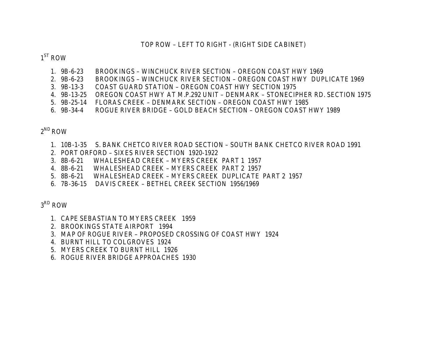## TOP ROW – LEFT TO RIGHT - (RIGHT SIDE CABINET)

 $1<sup>ST</sup>$  ROW

- 1. 9B-6-23 BROOKINGS WINCHUCK RIVER SECTION OREGON COAST HWY 1969
- 2. 9B-6-23 BROOKINGS WINCHUCK RIVER SECTION OREGON COAST HWY DUPLICATE 1969
- 3. 9B-13-3 COAST GUARD STATION OREGON COAST HWY SECTION 1975
- 4. 9B-13-25 OREGON COAST HWY AT M.P.292 UNIT DENMARK STONECIPHER RD. SECTION 1975
- 5. 9B-25-14 FLORAS CREEK DENMARK SECTION OREGON COAST HWY 1985
- 6. 9B-34-4 ROGUE RIVER BRIDGE GOLD BEACH SECTION OREGON COAST HWY 1989

 $2^{ND}$  ROW

- 1. 10B-1-35 S. BANK CHETCO RIVER ROAD SECTION SOUTH BANK CHETCO RIVER ROAD 1991
- 2. PORT ORFORD SIXES RIVER SECTION 1920-1922
- 3. 8B-6-21 WHALESHEAD CREEK MYERS CREEK PART 1 1957
- 4. 8B-6-21 WHALESHEAD CREEK MYERS CREEK PART 2 1957
- 5. 8B-6-21 WHALESHEAD CREEK MYERS CREEK DUPLICATE PART 2 1957
- 6. 7B-36-15 DAVIS CREEK BETHEL CREEK SECTION 1956/1969

 $3<sup>RD</sup>$  ROW

- 1. CAPE SEBASTIAN TO MYERS CREEK 1959
- 2. BROOKINGS STATE AIRPORT 1994
- 3. MAP OF ROGUE RIVER PROPOSED CROSSING OF COAST HWY 1924
- 4. BURNT HILL TO COLGROVES 1924
- 5. MYERS CREEK TO BURNT HILL 1926
- 6. ROGUE RIVER BRIDGE APPROACHES 1930